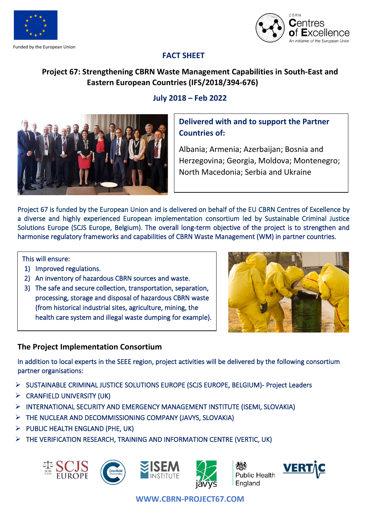

Funded by the European Union



## **FACT SHEET**

# **Project 67: Strengthening CBRN Waste Management Capabilities in South-East and Eastern European Countries (IFS/2018/394-676)**

### **July 2018 – Feb 2022**



# **Delivered with and to support the Partner Countries of:**

Albania; Armenia; Azerbaijan; Bosnia and Herzegovina; Georgia, Moldova; Montenegro; North Macedonia; Serbia and Ukraine

Project 67 is funded by the European Union and is delivered on behalf of the EU [CBRN Centres of Excellence](http://www.cbrn-coe.eu/) by a diverse and highly experienced European implementation consortium led by Sustainable Criminal Justice Solutions Europe (SCJS Europe, Belgium). The overall long-term objective of the project is to strengthen and harmonise regulatory frameworks and capabilities of CBRN Waste Management (WM) in partner countries.

#### This will ensure:

- 1) Improved regulations.
- 2) An inventory of hazardous CBRN sources and waste.
- 3) The safe and secure collection, transportation, separation, processing, storage and disposal of hazardous CBRN waste (from historical industrial sites, agriculture, mining, the health care system and illegal waste dumping for example).



## **The Project Implementation Consortium**

In addition to local experts in the SEEE region, project activities will be delivered by the following consortium partne[r o](https://www.cranfield.ac.uk/)rganisations:

- ➢ SUSTAINABLE CRIMINAL JUSTICE SOLUTIONS EUROPE (SCJS EUROPE, BELGIUM)- Project Leaders
- $\triangleright$  CRANFIELD UNIVERSITY (UK)
- ➢ INTERNATIONAL SECURITY AND EMERGENCY MANAGEMENT INSTITUTE (ISEMI, SLOVAKIA)
- ➢ THE NUCLEAR AND DECOMMISSIONING COMPANY (JAVYS, SLOVAKIA)
- $\triangleright$  PUBLIC HEALTH ENGLAND (PHE, UK)
- ➢ THE VERIFICATION RESEARCH, TRAINING AND INFORMATION CENTRE (VERTIC, UK)









**Public Health** England



**WWW.CBRN-PROJECT67.COM**